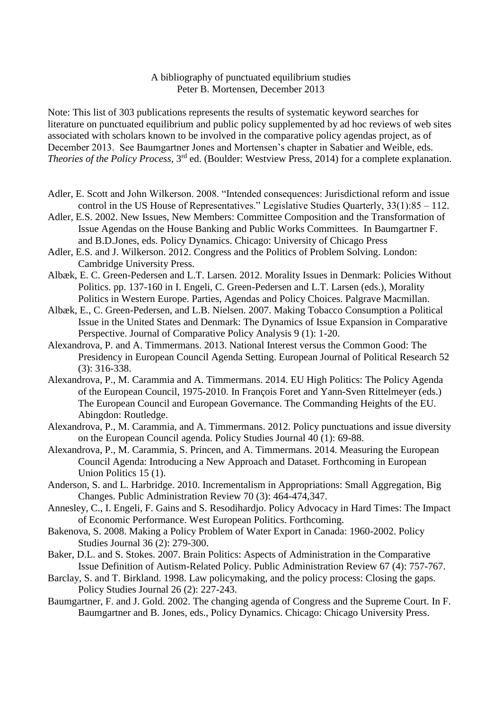## A bibliography of punctuated equilibrium studies Peter B. Mortensen, December 2013

Note: This list of 303 publications represents the results of systematic keyword searches for literature on punctuated equilibrium and public policy supplemented by ad hoc reviews of web sites associated with scholars known to be involved in the comparative policy agendas project, as of December 2013. See Baumgartner Jones and Mortensen's chapter in Sabatier and Weible, eds. *Theories of the Policy Process,* 3<sup>rd</sup> ed. (Boulder: Westview Press, 2014) for a complete explanation.

- Adler, E. Scott and John Wilkerson. 2008. "Intended consequences: Jurisdictional reform and issue control in the US House of Representatives." Legislative Studies Quarterly, 33(1):85 – 112.
- Adler, E.S. 2002. New Issues, New Members: Committee Composition and the Transformation of Issue Agendas on the House Banking and Public Works Committees. In Baumgartner F. and B.D.Jones, eds. Policy Dynamics. Chicago: University of Chicago Press
- Adler, E.S. and J. Wilkerson. 2012. Congress and the Politics of Problem Solving. London: Cambridge University Press.
- Albæk, E. C. Green-Pedersen and L.T. Larsen. 2012. Morality Issues in Denmark: Policies Without Politics. pp. 137-160 in I. Engeli, C. Green-Pedersen and L.T. Larsen (eds.), Morality Politics in Western Europe. Parties, Agendas and Policy Choices. Palgrave Macmillan.
- Albæk, E., C. Green-Pedersen, and L.B. Nielsen. 2007. Making Tobacco Consumption a Political Issue in the United States and Denmark: The Dynamics of Issue Expansion in Comparative Perspective. Journal of Comparative Policy Analysis 9 (1): 1-20.
- Alexandrova, P. and A. Timmermans. 2013. National Interest versus the Common Good: The Presidency in European Council Agenda Setting. European Journal of Political Research 52 (3): 316-338.
- Alexandrova, P., M. Carammia and A. Timmermans. 2014. EU High Politics: The Policy Agenda of the European Council, 1975-2010. In François Foret and Yann-Sven Rittelmeyer (eds.) The European Council and European Governance. The Commanding Heights of the EU. Abingdon: Routledge.
- Alexandrova, P., M. Carammia, and A. Timmermans. 2012. Policy punctuations and issue diversity on the European Council agenda. Policy Studies Journal 40 (1): 69-88.
- Alexandrova, P., M. Carammia, S. Princen, and A. Timmermans. 2014. Measuring the European Council Agenda: Introducing a New Approach and Dataset. Forthcoming in European Union Politics 15 (1).
- Anderson, S. and L. Harbridge. 2010. Incrementalism in Appropriations: Small Aggregation, Big Changes. Public Administration Review 70 (3): 464-474,347.
- Annesley, C., I. Engeli, F. Gains and S. Resodihardjo. Policy Advocacy in Hard Times: The Impact of Economic Performance. West European Politics. Forthcoming.
- Bakenova, S. 2008. Making a Policy Problem of Water Export in Canada: 1960-2002. Policy Studies Journal 36 (2): 279-300.
- Baker, D.L. and S. Stokes. 2007. Brain Politics: Aspects of Administration in the Comparative Issue Definition of Autism-Related Policy. Public Administration Review 67 (4): 757-767.
- Barclay, S. and T. Birkland. 1998. Law policymaking, and the policy process: Closing the gaps. Policy Studies Journal 26 (2): 227-243.
- Baumgartner, F. and J. Gold. 2002. The changing agenda of Congress and the Supreme Court. In F. Baumgartner and B. Jones, eds., Policy Dynamics. Chicago: Chicago University Press.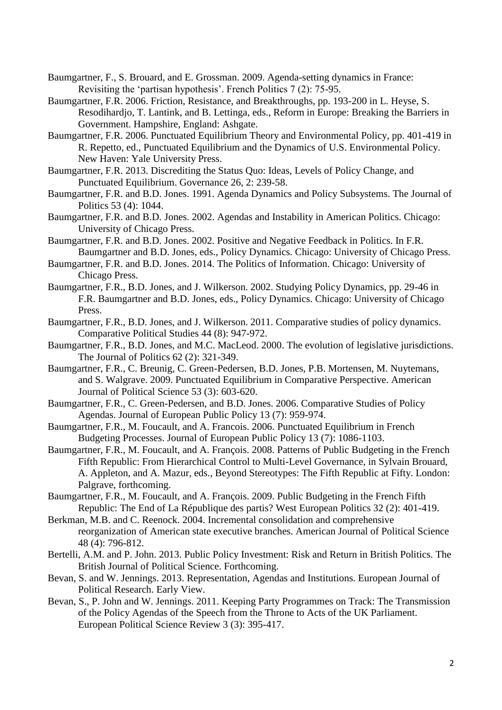- Baumgartner, F., S. Brouard, and E. Grossman. 2009. Agenda-setting dynamics in France: Revisiting the 'partisan hypothesis'. French Politics 7 (2): 75-95.
- Baumgartner, F.R. 2006. Friction, Resistance, and Breakthroughs, pp. 193-200 in L. Heyse, S. Resodihardjo, T. Lantink, and B. Lettinga, eds., Reform in Europe: Breaking the Barriers in Government. Hampshire, England: Ashgate.
- Baumgartner, F.R. 2006. Punctuated Equilibrium Theory and Environmental Policy, pp. 401-419 in R. Repetto, ed., Punctuated Equilibrium and the Dynamics of U.S. Environmental Policy. New Haven: Yale University Press.
- Baumgartner, F.R. 2013. Discrediting the Status Quo: Ideas, Levels of Policy Change, and Punctuated Equilibrium. Governance 26, 2: 239-58.
- Baumgartner, F.R. and B.D. Jones. 1991. Agenda Dynamics and Policy Subsystems. The Journal of Politics 53 (4): 1044.
- Baumgartner, F.R. and B.D. Jones. 2002. Agendas and Instability in American Politics. Chicago: University of Chicago Press.
- Baumgartner, F.R. and B.D. Jones. 2002. Positive and Negative Feedback in Politics. In F.R. Baumgartner and B.D. Jones, eds., Policy Dynamics. Chicago: University of Chicago Press.
- Baumgartner, F.R. and B.D. Jones. 2014. The Politics of Information. Chicago: University of Chicago Press.
- Baumgartner, F.R., B.D. Jones, and J. Wilkerson. 2002. Studying Policy Dynamics, pp. 29-46 in F.R. Baumgartner and B.D. Jones, eds., Policy Dynamics. Chicago: University of Chicago Press.
- Baumgartner, F.R., B.D. Jones, and J. Wilkerson. 2011. Comparative studies of policy dynamics. Comparative Political Studies 44 (8): 947-972.
- Baumgartner, F.R., B.D. Jones, and M.C. MacLeod. 2000. The evolution of legislative jurisdictions. The Journal of Politics 62 (2): 321-349.
- Baumgartner, F.R., C. Breunig, C. Green-Pedersen, B.D. Jones, P.B. Mortensen, M. Nuytemans, and S. Walgrave. 2009. Punctuated Equilibrium in Comparative Perspective. American Journal of Political Science 53 (3): 603-620.
- Baumgartner, F.R., C. Green-Pedersen, and B.D. Jones. 2006. Comparative Studies of Policy Agendas. Journal of European Public Policy 13 (7): 959-974.
- Baumgartner, F.R., M. Foucault, and A. Francois. 2006. Punctuated Equilibrium in French Budgeting Processes. Journal of European Public Policy 13 (7): 1086-1103.
- Baumgartner, F.R., M. Foucault, and A. François. 2008. Patterns of Public Budgeting in the French Fifth Republic: From Hierarchical Control to Multi-Level Governance, in Sylvain Brouard, A. Appleton, and A. Mazur, eds., Beyond Stereotypes: The Fifth Republic at Fifty. London: Palgrave, forthcoming.
- Baumgartner, F.R., M. Foucault, and A. François. 2009. Public Budgeting in the French Fifth Republic: The End of La République des partis? West European Politics 32 (2): 401-419.
- Berkman, M.B. and C. Reenock. 2004. Incremental consolidation and comprehensive reorganization of American state executive branches. American Journal of Political Science 48 (4): 796-812.
- Bertelli, A.M. and P. John. 2013. Public Policy Investment: Risk and Return in British Politics. The British Journal of Political Science. Forthcoming.
- Bevan, S. and W. Jennings. 2013. Representation, Agendas and Institutions. European Journal of Political Research. Early View.
- Bevan, S., P. John and W. Jennings. 2011. Keeping Party Programmes on Track: The Transmission of the Policy Agendas of the Speech from the Throne to Acts of the UK Parliament. European Political Science Review 3 (3): 395-417.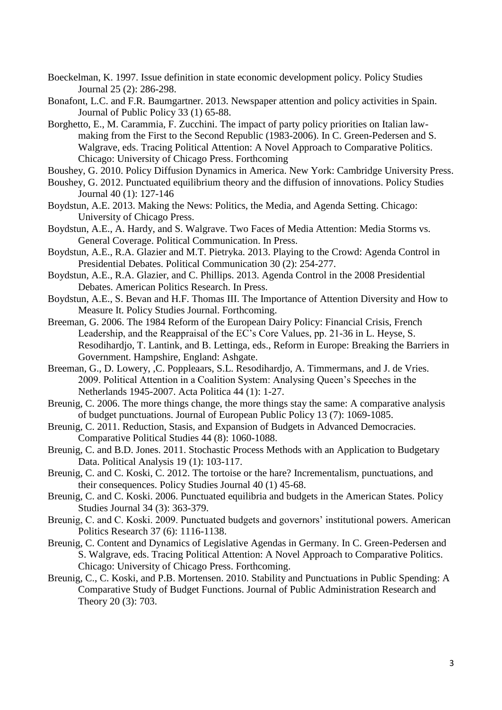- Boeckelman, K. 1997. Issue definition in state economic development policy. Policy Studies Journal 25 (2): 286-298.
- Bonafont, L.C. and F.R. Baumgartner. 2013. Newspaper attention and policy activities in Spain. Journal of Public Policy 33 (1) 65-88.
- Borghetto, E., M. Carammia, F. Zucchini. The impact of party policy priorities on Italian lawmaking from the First to the Second Republic (1983-2006). In C. Green-Pedersen and S. Walgrave, eds. Tracing Political Attention: A Novel Approach to Comparative Politics. Chicago: University of Chicago Press. Forthcoming
- Boushey, G. 2010. Policy Diffusion Dynamics in America. New York: Cambridge University Press.
- Boushey, G. 2012. Punctuated equilibrium theory and the diffusion of innovations. Policy Studies Journal 40 (1): 127-146
- Boydstun, A.E. 2013. Making the News: Politics, the Media, and Agenda Setting. Chicago: University of Chicago Press.
- Boydstun, A.E., A. Hardy, and S. Walgrave. Two Faces of Media Attention: Media Storms vs. General Coverage. Political Communication. In Press.
- Boydstun, A.E., R.A. Glazier and M.T. Pietryka. 2013. Playing to the Crowd: Agenda Control in Presidential Debates. Political Communication 30 (2): 254-277.
- Boydstun, A.E., R.A. Glazier, and C. Phillips. 2013. Agenda Control in the 2008 Presidential Debates. American Politics Research. In Press.
- Boydstun, A.E., S. Bevan and H.F. Thomas III. The Importance of Attention Diversity and How to Measure It. Policy Studies Journal. Forthcoming.
- Breeman, G. 2006. The 1984 Reform of the European Dairy Policy: Financial Crisis, French Leadership, and the Reappraisal of the EC's Core Values, pp. 21-36 in L. Heyse, S. Resodihardjo, T. Lantink, and B. Lettinga, eds., Reform in Europe: Breaking the Barriers in Government. Hampshire, England: Ashgate.
- Breeman, G., D. Lowery, ,C. Poppleaars, S.L. Resodihardjo, A. Timmermans, and J. de Vries. 2009. Political Attention in a Coalition System: Analysing Queen's Speeches in the Netherlands 1945-2007. Acta Politica 44 (1): 1-27.
- Breunig, C. 2006. The more things change, the more things stay the same: A comparative analysis of budget punctuations. Journal of European Public Policy 13 (7): 1069-1085.
- Breunig, C. 2011. Reduction, Stasis, and Expansion of Budgets in Advanced Democracies. Comparative Political Studies 44 (8): 1060-1088.
- Breunig, C. and B.D. Jones. 2011. Stochastic Process Methods with an Application to Budgetary Data. Political Analysis 19 (1): 103-117.
- Breunig, C. and C. Koski, C. 2012. The tortoise or the hare? Incrementalism, punctuations, and their consequences. Policy Studies Journal 40 (1) 45-68.
- Breunig, C. and C. Koski. 2006. Punctuated equilibria and budgets in the American States. Policy Studies Journal 34 (3): 363-379.
- Breunig, C. and C. Koski. 2009. Punctuated budgets and governors' institutional powers. American Politics Research 37 (6): 1116-1138.
- Breunig, C. Content and Dynamics of Legislative Agendas in Germany. In C. Green-Pedersen and S. Walgrave, eds. Tracing Political Attention: A Novel Approach to Comparative Politics. Chicago: University of Chicago Press. Forthcoming.
- Breunig, C., C. Koski, and P.B. Mortensen. 2010. Stability and Punctuations in Public Spending: A Comparative Study of Budget Functions. Journal of Public Administration Research and Theory 20 (3): 703.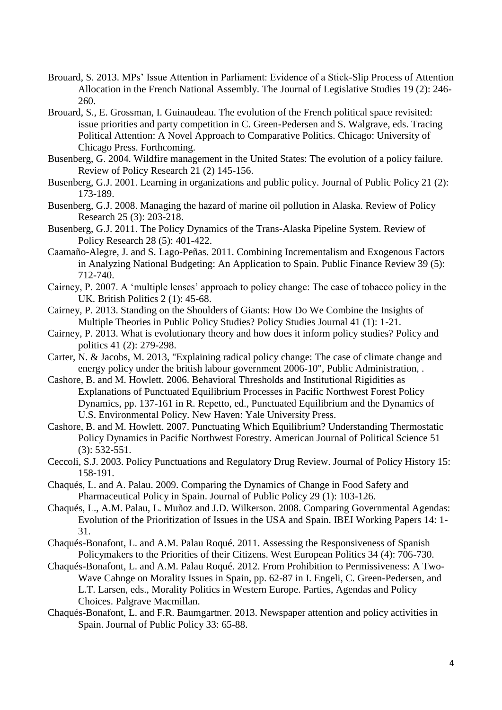- Brouard, S. 2013. MPs' Issue Attention in Parliament: Evidence of a Stick-Slip Process of Attention Allocation in the French National Assembly. The Journal of Legislative Studies 19 (2): 246- 260.
- Brouard, S., E. Grossman, I. Guinaudeau. The evolution of the French political space revisited: issue priorities and party competition in C. Green-Pedersen and S. Walgrave, eds. Tracing Political Attention: A Novel Approach to Comparative Politics. Chicago: University of Chicago Press. Forthcoming.
- Busenberg, G. 2004. Wildfire management in the United States: The evolution of a policy failure. Review of Policy Research 21 (2) 145-156.
- Busenberg, G.J. 2001. Learning in organizations and public policy. Journal of Public Policy 21 (2): 173-189.
- Busenberg, G.J. 2008. Managing the hazard of marine oil pollution in Alaska. Review of Policy Research 25 (3): 203-218.
- Busenberg, G.J. 2011. The Policy Dynamics of the Trans-Alaska Pipeline System. Review of Policy Research 28 (5): 401-422.
- Caamaño-Alegre, J. and S. Lago-Peñas. 2011. Combining Incrementalism and Exogenous Factors in Analyzing National Budgeting: An Application to Spain. Public Finance Review 39 (5): 712-740.
- Cairney, P. 2007. A 'multiple lenses' approach to policy change: The case of tobacco policy in the UK. British Politics 2 (1): 45-68.
- Cairney, P. 2013. Standing on the Shoulders of Giants: How Do We Combine the Insights of Multiple Theories in Public Policy Studies? Policy Studies Journal 41 (1): 1-21.
- Cairney, P. 2013. What is evolutionary theory and how does it inform policy studies? Policy and politics 41 (2): 279-298.
- Carter, N. & Jacobs, M. 2013, "Explaining radical policy change: The case of climate change and energy policy under the british labour government 2006-10", Public Administration, .
- Cashore, B. and M. Howlett. 2006. Behavioral Thresholds and Institutional Rigidities as Explanations of Punctuated Equilibrium Processes in Pacific Northwest Forest Policy Dynamics, pp. 137-161 in R. Repetto, ed., Punctuated Equilibrium and the Dynamics of U.S. Environmental Policy. New Haven: Yale University Press.
- Cashore, B. and M. Howlett. 2007. Punctuating Which Equilibrium? Understanding Thermostatic Policy Dynamics in Pacific Northwest Forestry. American Journal of Political Science 51 (3): 532-551.
- Ceccoli, S.J. 2003. Policy Punctuations and Regulatory Drug Review. Journal of Policy History 15: 158-191.
- Chaqués, L. and A. Palau. 2009. Comparing the Dynamics of Change in Food Safety and Pharmaceutical Policy in Spain. Journal of Public Policy 29 (1): 103-126.
- Chaqués, L., A.M. Palau, L. Muñoz and J.D. Wilkerson. 2008. Comparing Governmental Agendas: Evolution of the Prioritization of Issues in the USA and Spain. IBEI Working Papers 14: 1- 31.
- Chaqués-Bonafont, L. and A.M. Palau Roqué. 2011. Assessing the Responsiveness of Spanish Policymakers to the Priorities of their Citizens. West European Politics 34 (4): 706-730.
- Chaqués-Bonafont, L. and A.M. Palau Roqué. 2012. From Prohibition to Permissiveness: A Two-Wave Cahnge on Morality Issues in Spain, pp. 62-87 in I. Engeli, C. Green-Pedersen, and L.T. Larsen, eds., Morality Politics in Western Europe. Parties, Agendas and Policy Choices. Palgrave Macmillan.
- Chaqués-Bonafont, L. and F.R. Baumgartner. 2013. Newspaper attention and policy activities in Spain. Journal of Public Policy 33: 65-88.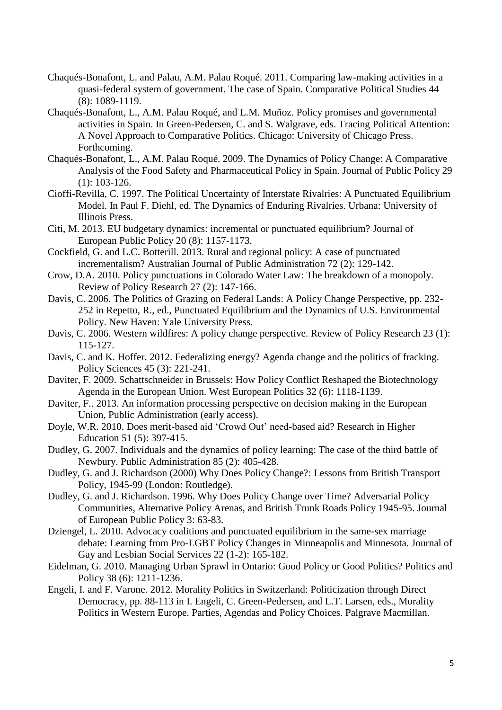- Chaqués-Bonafont, L. and Palau, A.M. Palau Roqué. 2011. Comparing law-making activities in a quasi-federal system of government. The case of Spain. Comparative Political Studies 44 (8): 1089-1119.
- Chaqués-Bonafont, L., A.M. Palau Roqué, and L.M. Muñoz. Policy promises and governmental activities in Spain. In Green-Pedersen, C. and S. Walgrave, eds. Tracing Political Attention: A Novel Approach to Comparative Politics. Chicago: University of Chicago Press. Forthcoming.
- Chaqués-Bonafont, L., A.M. Palau Roqué. 2009. The Dynamics of Policy Change: A Comparative Analysis of the Food Safety and Pharmaceutical Policy in Spain. Journal of Public Policy 29 (1): 103-126.
- Cioffi-Revilla, C. 1997. The Political Uncertainty of Interstate Rivalries: A Punctuated Equilibrium Model. In Paul F. Diehl, ed. The Dynamics of Enduring Rivalries. Urbana: University of Illinois Press.
- Citi, M. 2013. EU budgetary dynamics: incremental or punctuated equilibrium? Journal of European Public Policy 20 (8): 1157-1173.
- Cockfield, G. and L.C. Botterill. 2013. Rural and regional policy: A case of punctuated incrementalism? Australian Journal of Public Administration 72 (2): 129-142.
- Crow, D.A. 2010. Policy punctuations in Colorado Water Law: The breakdown of a monopoly. Review of Policy Research 27 (2): 147-166.
- Davis, C. 2006. The Politics of Grazing on Federal Lands: A Policy Change Perspective, pp. 232- 252 in Repetto, R., ed., Punctuated Equilibrium and the Dynamics of U.S. Environmental Policy. New Haven: Yale University Press.
- Davis, C. 2006. Western wildfires: A policy change perspective. Review of Policy Research 23 (1): 115-127.
- Davis, C. and K. Hoffer. 2012. Federalizing energy? Agenda change and the politics of fracking. Policy Sciences 45 (3): 221-241.
- Daviter, F. 2009. Schattschneider in Brussels: How Policy Conflict Reshaped the Biotechnology Agenda in the European Union. West European Politics 32 (6): 1118-1139.
- Daviter, F.. 2013. An information processing perspective on decision making in the European Union, Public Administration (early access).
- Doyle, W.R. 2010. Does merit-based aid 'Crowd Out' need-based aid? Research in Higher Education 51 (5): 397-415.
- Dudley, G. 2007. Individuals and the dynamics of policy learning: The case of the third battle of Newbury. Public Administration 85 (2): 405-428.
- Dudley, G. and J. Richardson (2000) Why Does Policy Change?: Lessons from British Transport Policy, 1945-99 (London: Routledge).
- Dudley, G. and J. Richardson. 1996. Why Does Policy Change over Time? Adversarial Policy Communities, Alternative Policy Arenas, and British Trunk Roads Policy 1945-95. Journal of European Public Policy 3: 63-83.
- Dziengel, L. 2010. Advocacy coalitions and punctuated equilibrium in the same-sex marriage debate: Learning from Pro-LGBT Policy Changes in Minneapolis and Minnesota. Journal of Gay and Lesbian Social Services 22 (1-2): 165-182.
- Eidelman, G. 2010. Managing Urban Sprawl in Ontario: Good Policy or Good Politics? Politics and Policy 38 (6): 1211-1236.
- Engeli, I. and F. Varone. 2012. Morality Politics in Switzerland: Politicization through Direct Democracy, pp. 88-113 in I. Engeli, C. Green-Pedersen, and L.T. Larsen, eds., Morality Politics in Western Europe. Parties, Agendas and Policy Choices. Palgrave Macmillan.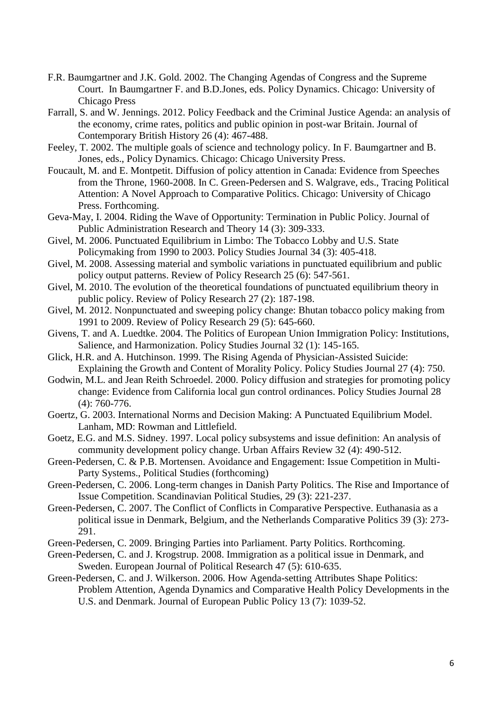- F.R. Baumgartner and J.K. Gold. 2002. The Changing Agendas of Congress and the Supreme Court. In Baumgartner F. and B.D.Jones, eds. Policy Dynamics. Chicago: University of Chicago Press
- Farrall, S. and W. Jennings. 2012. Policy Feedback and the Criminal Justice Agenda: an analysis of the economy, crime rates, politics and public opinion in post-war Britain. Journal of Contemporary British History 26 (4): 467-488.
- Feeley, T. 2002. The multiple goals of science and technology policy. In F. Baumgartner and B. Jones, eds., Policy Dynamics. Chicago: Chicago University Press.
- Foucault, M. and E. Montpetit. Diffusion of policy attention in Canada: Evidence from Speeches from the Throne, 1960-2008. In C. Green-Pedersen and S. Walgrave, eds., Tracing Political Attention: A Novel Approach to Comparative Politics. Chicago: University of Chicago Press. Forthcoming.
- Geva-May, I. 2004. Riding the Wave of Opportunity: Termination in Public Policy. Journal of Public Administration Research and Theory 14 (3): 309-333.
- Givel, M. 2006. Punctuated Equilibrium in Limbo: The Tobacco Lobby and U.S. State Policymaking from 1990 to 2003. Policy Studies Journal 34 (3): 405-418.
- Givel, M. 2008. Assessing material and symbolic variations in punctuated equilibrium and public policy output patterns. Review of Policy Research 25 (6): 547-561.
- Givel, M. 2010. The evolution of the theoretical foundations of punctuated equilibrium theory in public policy. Review of Policy Research 27 (2): 187-198.
- Givel, M. 2012. Nonpunctuated and sweeping policy change: Bhutan tobacco policy making from 1991 to 2009. Review of Policy Research 29 (5): 645-660.
- Givens, T. and A. Luedtke. 2004. The Politics of European Union Immigration Policy: Institutions, Salience, and Harmonization. Policy Studies Journal 32 (1): 145-165.
- Glick, H.R. and A. Hutchinson. 1999. The Rising Agenda of Physician-Assisted Suicide: Explaining the Growth and Content of Morality Policy. Policy Studies Journal 27 (4): 750.
- Godwin, M.L. and Jean Reith Schroedel. 2000. Policy diffusion and strategies for promoting policy change: Evidence from California local gun control ordinances. Policy Studies Journal 28 (4): 760-776.
- Goertz, G. 2003. International Norms and Decision Making: A Punctuated Equilibrium Model. Lanham, MD: Rowman and Littlefield.
- Goetz, E.G. and M.S. Sidney. 1997. Local policy subsystems and issue definition: An analysis of community development policy change. Urban Affairs Review 32 (4): 490-512.
- Green-Pedersen, C. & P.B. Mortensen. Avoidance and Engagement: Issue Competition in Multi-Party Systems., Political Studies (forthcoming)
- Green-Pedersen, C. 2006. Long-term changes in Danish Party Politics. The Rise and Importance of Issue Competition. Scandinavian Political Studies, 29 (3): 221-237.
- Green-Pedersen, C. 2007. The Conflict of Conflicts in Comparative Perspective. Euthanasia as a political issue in Denmark, Belgium, and the Netherlands Comparative Politics 39 (3): 273- 291.
- Green-Pedersen, C. 2009. Bringing Parties into Parliament. Party Politics. Rorthcoming.
- Green-Pedersen, C. and J. Krogstrup. 2008. Immigration as a political issue in Denmark, and Sweden. European Journal of Political Research 47 (5): 610-635.
- Green-Pedersen, C. and J. Wilkerson. 2006. How Agenda-setting Attributes Shape Politics: Problem Attention, Agenda Dynamics and Comparative Health Policy Developments in the U.S. and Denmark. Journal of European Public Policy 13 (7): 1039-52.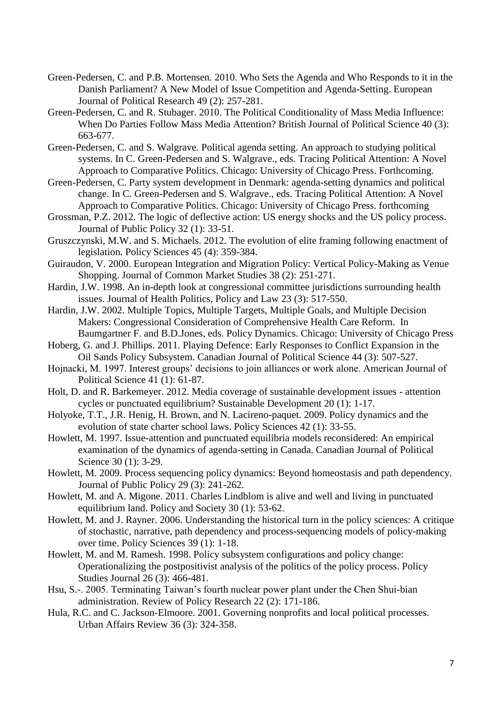- Green-Pedersen, C. and P.B. Mortensen. 2010. Who Sets the Agenda and Who Responds to it in the Danish Parliament? A New Model of Issue Competition and Agenda-Setting. European Journal of Political Research 49 (2): 257-281.
- Green-Pedersen, C. and R. Stubager. 2010. The Political Conditionality of Mass Media Influence: When Do Parties Follow Mass Media Attention? British Journal of Political Science 40 (3): 663-677.
- Green-Pedersen, C. and S. Walgrave. Political agenda setting. An approach to studying political systems. In C. Green-Pedersen and S. Walgrave., eds. Tracing Political Attention: A Novel Approach to Comparative Politics. Chicago: University of Chicago Press. Forthcoming.
- Green-Pedersen, C. Party system development in Denmark: agenda-setting dynamics and political change. In C. Green-Pedersen and S. Walgrave., eds. Tracing Political Attention: A Novel Approach to Comparative Politics. Chicago: University of Chicago Press. forthcoming
- Grossman, P.Z. 2012. The logic of deflective action: US energy shocks and the US policy process. Journal of Public Policy 32 (1): 33-51.
- Gruszczynski, M.W. and S. Michaels. 2012. The evolution of elite framing following enactment of legislation. Policy Sciences 45 (4): 359-384.
- Guiraudon, V. 2000. European Integration and Migration Policy: Vertical Policy-Making as Venue Shopping. Journal of Common Market Studies 38 (2): 251-271.
- Hardin, J.W. 1998. An in-depth look at congressional committee jurisdictions surrounding health issues. Journal of Health Politics, Policy and Law 23 (3): 517-550.
- Hardin, J.W. 2002. Multiple Topics, Multiple Targets, Multiple Goals, and Multiple Decision Makers: Congressional Consideration of Comprehensive Health Care Reform. In Baumgartner F. and B.D.Jones, eds. Policy Dynamics. Chicago: University of Chicago Press
- Hoberg, G. and J. Phillips. 2011. Playing Defence: Early Responses to Conflict Expansion in the Oil Sands Policy Subsystem. Canadian Journal of Political Science 44 (3): 507-527.
- Hojnacki, M. 1997. Interest groups' decisions to join alliances or work alone. American Journal of Political Science 41 (1): 61-87.
- Holt, D. and R. Barkemeyer. 2012. Media coverage of sustainable development issues attention cycles or punctuated equilibrium? Sustainable Development 20 (1): 1-17.
- Holyoke, T.T., J.R. Henig, H. Brown, and N. Lacireno-paquet. 2009. Policy dynamics and the evolution of state charter school laws. Policy Sciences 42 (1): 33-55.
- Howlett, M. 1997. Issue-attention and punctuated equilibria models reconsidered: An empirical examination of the dynamics of agenda-setting in Canada. Canadian Journal of Political Science 30 (1): 3-29.
- Howlett, M. 2009. Process sequencing policy dynamics: Beyond homeostasis and path dependency. Journal of Public Policy 29 (3): 241-262.
- Howlett, M. and A. Migone. 2011. Charles Lindblom is alive and well and living in punctuated equilibrium land. Policy and Society 30 (1): 53-62.
- Howlett, M. and J. Rayner. 2006. Understanding the historical turn in the policy sciences: A critique of stochastic, narrative, path dependency and process-sequencing models of policy-making over time. Policy Sciences 39 (1): 1-18.
- Howlett, M. and M. Ramesh. 1998. Policy subsystem configurations and policy change: Operationalizing the postpositivist analysis of the politics of the policy process. Policy Studies Journal 26 (3): 466-481.
- Hsu, S.-. 2005. Terminating Taiwan's fourth nuclear power plant under the Chen Shui-bian administration. Review of Policy Research 22 (2): 171-186.
- Hula, R.C. and C. Jackson-Elmoore. 2001. Governing nonprofits and local political processes. Urban Affairs Review 36 (3): 324-358.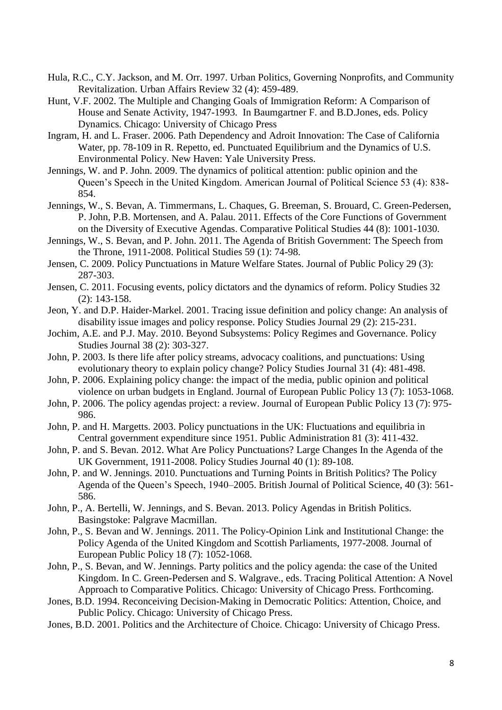- Hula, R.C., C.Y. Jackson, and M. Orr. 1997. Urban Politics, Governing Nonprofits, and Community Revitalization. Urban Affairs Review 32 (4): 459-489.
- Hunt, V.F. 2002. The Multiple and Changing Goals of Immigration Reform: A Comparison of House and Senate Activity, 1947-1993. In Baumgartner F. and B.D.Jones, eds. Policy Dynamics. Chicago: University of Chicago Press
- Ingram, H. and L. Fraser. 2006. Path Dependency and Adroit Innovation: The Case of California Water, pp. 78-109 in R. Repetto, ed. Punctuated Equilibrium and the Dynamics of U.S. Environmental Policy. New Haven: Yale University Press.
- Jennings, W. and P. John. 2009. The dynamics of political attention: public opinion and the Queen's Speech in the United Kingdom. American Journal of Political Science 53 (4): 838- 854.
- Jennings, W., S. Bevan, A. Timmermans, L. Chaques, G. Breeman, S. Brouard, C. Green-Pedersen, P. John, P.B. Mortensen, and A. Palau. 2011. Effects of the Core Functions of Government on the Diversity of Executive Agendas. Comparative Political Studies 44 (8): 1001-1030.
- Jennings, W., S. Bevan, and P. John. 2011. The Agenda of British Government: The Speech from the Throne, 1911-2008. Political Studies 59 (1): 74-98.
- Jensen, C. 2009. Policy Punctuations in Mature Welfare States. Journal of Public Policy 29 (3): 287-303.
- Jensen, C. 2011. Focusing events, policy dictators and the dynamics of reform. Policy Studies 32 (2): 143-158.
- Jeon, Y. and D.P. Haider-Markel. 2001. Tracing issue definition and policy change: An analysis of disability issue images and policy response. Policy Studies Journal 29 (2): 215-231.
- Jochim, A.E. and P.J. May. 2010. Beyond Subsystems: Policy Regimes and Governance. Policy Studies Journal 38 (2): 303-327.
- John, P. 2003. Is there life after policy streams, advocacy coalitions, and punctuations: Using evolutionary theory to explain policy change? Policy Studies Journal 31 (4): 481-498.
- John, P. 2006. Explaining policy change: the impact of the media, public opinion and political violence on urban budgets in England. Journal of European Public Policy 13 (7): 1053-1068.
- John, P. 2006. The policy agendas project: a review. Journal of European Public Policy 13 (7): 975- 986.
- John, P. and H. Margetts. 2003. Policy punctuations in the UK: Fluctuations and equilibria in Central government expenditure since 1951. Public Administration 81 (3): 411-432.
- John, P. and S. Bevan. 2012. What Are Policy Punctuations? Large Changes In the Agenda of the UK Government, 1911-2008. Policy Studies Journal 40 (1): 89-108.
- John, P. and W. Jennings. 2010. Punctuations and Turning Points in British Politics? The Policy Agenda of the Queen's Speech, 1940–2005. British Journal of Political Science, 40 (3): 561- 586.
- John, P., A. Bertelli, W. Jennings, and S. Bevan. 2013. Policy Agendas in British Politics. Basingstoke: Palgrave Macmillan.
- John, P., S. Bevan and W. Jennings. 2011. The Policy-Opinion Link and Institutional Change: the Policy Agenda of the United Kingdom and Scottish Parliaments, 1977-2008. Journal of European Public Policy 18 (7): 1052-1068.
- John, P., S. Bevan, and W. Jennings. Party politics and the policy agenda: the case of the United Kingdom. In C. Green-Pedersen and S. Walgrave., eds. Tracing Political Attention: A Novel Approach to Comparative Politics. Chicago: University of Chicago Press. Forthcoming.
- Jones, B.D. 1994. Reconceiving Decision-Making in Democratic Politics: Attention, Choice, and Public Policy. Chicago: University of Chicago Press.
- Jones, B.D. 2001. Politics and the Architecture of Choice. Chicago: University of Chicago Press.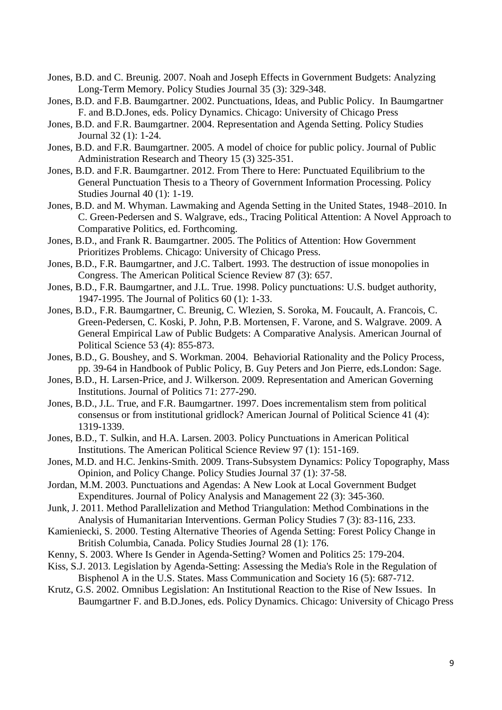- Jones, B.D. and C. Breunig. 2007. Noah and Joseph Effects in Government Budgets: Analyzing Long-Term Memory. Policy Studies Journal 35 (3): 329-348.
- Jones, B.D. and F.B. Baumgartner. 2002. Punctuations, Ideas, and Public Policy. In Baumgartner F. and B.D.Jones, eds. Policy Dynamics. Chicago: University of Chicago Press
- Jones, B.D. and F.R. Baumgartner. 2004. Representation and Agenda Setting. Policy Studies Journal 32 (1): 1-24.
- Jones, B.D. and F.R. Baumgartner. 2005. A model of choice for public policy. Journal of Public Administration Research and Theory 15 (3) 325-351.
- Jones, B.D. and F.R. Baumgartner. 2012. From There to Here: Punctuated Equilibrium to the General Punctuation Thesis to a Theory of Government Information Processing. Policy Studies Journal 40 (1): 1-19.
- Jones, B.D. and M. Whyman. Lawmaking and Agenda Setting in the United States, 1948–2010. In C. Green-Pedersen and S. Walgrave, eds., Tracing Political Attention: A Novel Approach to Comparative Politics, ed. Forthcoming.
- Jones, B.D., and Frank R. Baumgartner. 2005. The Politics of Attention: How Government Prioritizes Problems. Chicago: University of Chicago Press.
- Jones, B.D., F.R. Baumgartner, and J.C. Talbert. 1993. The destruction of issue monopolies in Congress. The American Political Science Review 87 (3): 657.
- Jones, B.D., F.R. Baumgartner, and J.L. True. 1998. Policy punctuations: U.S. budget authority, 1947-1995. The Journal of Politics 60 (1): 1-33.
- Jones, B.D., F.R. Baumgartner, C. Breunig, C. Wlezien, S. Soroka, M. Foucault, A. Francois, C. Green-Pedersen, C. Koski, P. John, P.B. Mortensen, F. Varone, and S. Walgrave. 2009. A General Empirical Law of Public Budgets: A Comparative Analysis. American Journal of Political Science 53 (4): 855-873.
- Jones, B.D., G. Boushey, and S. Workman. 2004. Behaviorial Rationality and the Policy Process, pp. 39-64 in Handbook of Public Policy, B. Guy Peters and Jon Pierre, eds.London: Sage.
- Jones, B.D., H. Larsen-Price, and J. Wilkerson. 2009. Representation and American Governing Institutions. Journal of Politics 71: 277-290.
- Jones, B.D., J.L. True, and F.R. Baumgartner. 1997. Does incrementalism stem from political consensus or from institutional gridlock? American Journal of Political Science 41 (4): 1319-1339.
- Jones, B.D., T. Sulkin, and H.A. Larsen. 2003. Policy Punctuations in American Political Institutions. The American Political Science Review 97 (1): 151-169.
- Jones, M.D. and H.C. Jenkins-Smith. 2009. Trans-Subsystem Dynamics: Policy Topography, Mass Opinion, and Policy Change. Policy Studies Journal 37 (1): 37-58.
- Jordan, M.M. 2003. Punctuations and Agendas: A New Look at Local Government Budget Expenditures. Journal of Policy Analysis and Management 22 (3): 345-360.
- Junk, J. 2011. Method Parallelization and Method Triangulation: Method Combinations in the Analysis of Humanitarian Interventions. German Policy Studies 7 (3): 83-116, 233.
- Kamieniecki, S. 2000. Testing Alternative Theories of Agenda Setting: Forest Policy Change in British Columbia, Canada. Policy Studies Journal 28 (1): 176.
- Kenny, S. 2003. Where Is Gender in Agenda-Setting? Women and Politics 25: 179-204.
- Kiss, S.J. 2013. Legislation by Agenda-Setting: Assessing the Media's Role in the Regulation of Bisphenol A in the U.S. States. Mass Communication and Society 16 (5): 687-712.
- Krutz, G.S. 2002. Omnibus Legislation: An Institutional Reaction to the Rise of New Issues. In Baumgartner F. and B.D.Jones, eds. Policy Dynamics. Chicago: University of Chicago Press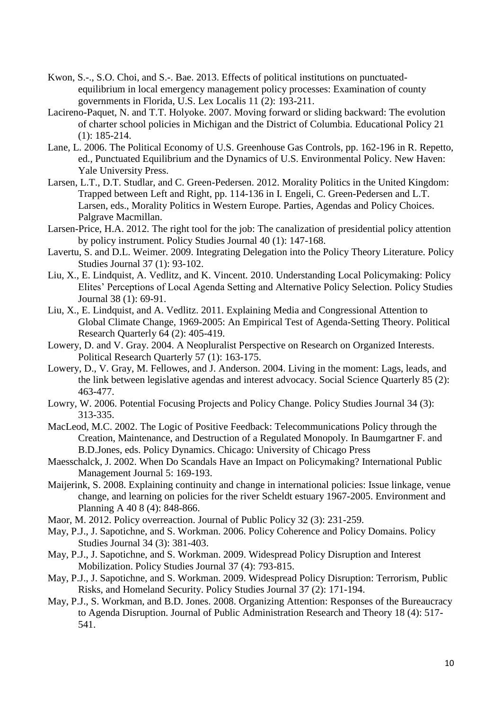- Kwon, S.-., S.O. Choi, and S.-. Bae. 2013. Effects of political institutions on punctuatedequilibrium in local emergency management policy processes: Examination of county governments in Florida, U.S. Lex Localis 11 (2): 193-211.
- Lacireno-Paquet, N. and T.T. Holyoke. 2007. Moving forward or sliding backward: The evolution of charter school policies in Michigan and the District of Columbia. Educational Policy 21 (1): 185-214.
- Lane, L. 2006. The Political Economy of U.S. Greenhouse Gas Controls, pp. 162-196 in R. Repetto, ed., Punctuated Equilibrium and the Dynamics of U.S. Environmental Policy. New Haven: Yale University Press.
- Larsen, L.T., D.T. Studlar, and C. Green-Pedersen. 2012. Morality Politics in the United Kingdom: Trapped between Left and Right, pp. 114-136 in I. Engeli, C. Green-Pedersen and L.T. Larsen, eds., Morality Politics in Western Europe. Parties, Agendas and Policy Choices. Palgrave Macmillan.
- Larsen-Price, H.A. 2012. The right tool for the job: The canalization of presidential policy attention by policy instrument. Policy Studies Journal 40 (1): 147-168.
- Lavertu, S. and D.L. Weimer. 2009. Integrating Delegation into the Policy Theory Literature. Policy Studies Journal 37 (1): 93-102.
- Liu, X., E. Lindquist, A. Vedlitz, and K. Vincent. 2010. Understanding Local Policymaking: Policy Elites' Perceptions of Local Agenda Setting and Alternative Policy Selection. Policy Studies Journal 38 (1): 69-91.
- Liu, X., E. Lindquist, and A. Vedlitz. 2011. Explaining Media and Congressional Attention to Global Climate Change, 1969-2005: An Empirical Test of Agenda-Setting Theory. Political Research Quarterly 64 (2): 405-419.
- Lowery, D. and V. Gray. 2004. A Neopluralist Perspective on Research on Organized Interests. Political Research Quarterly 57 (1): 163-175.
- Lowery, D., V. Gray, M. Fellowes, and J. Anderson. 2004. Living in the moment: Lags, leads, and the link between legislative agendas and interest advocacy. Social Science Quarterly 85 (2): 463-477.
- Lowry, W. 2006. Potential Focusing Projects and Policy Change. Policy Studies Journal 34 (3): 313-335.
- MacLeod, M.C. 2002. The Logic of Positive Feedback: Telecommunications Policy through the Creation, Maintenance, and Destruction of a Regulated Monopoly. In Baumgartner F. and B.D.Jones, eds. Policy Dynamics. Chicago: University of Chicago Press
- Maesschalck, J. 2002. When Do Scandals Have an Impact on Policymaking? International Public Management Journal 5: 169-193.
- Maijerink, S. 2008. Explaining continuity and change in international policies: Issue linkage, venue change, and learning on policies for the river Scheldt estuary 1967-2005. Environment and Planning A 40 8 (4): 848-866.
- Maor, M. 2012. Policy overreaction. Journal of Public Policy 32 (3): 231-259.
- May, P.J., J. Sapotichne, and S. Workman. 2006. Policy Coherence and Policy Domains. Policy Studies Journal 34 (3): 381-403.
- May, P.J., J. Sapotichne, and S. Workman. 2009. Widespread Policy Disruption and Interest Mobilization. Policy Studies Journal 37 (4): 793-815.
- May, P.J., J. Sapotichne, and S. Workman. 2009. Widespread Policy Disruption: Terrorism, Public Risks, and Homeland Security. Policy Studies Journal 37 (2): 171-194.
- May, P.J., S. Workman, and B.D. Jones. 2008. Organizing Attention: Responses of the Bureaucracy to Agenda Disruption. Journal of Public Administration Research and Theory 18 (4): 517- 541.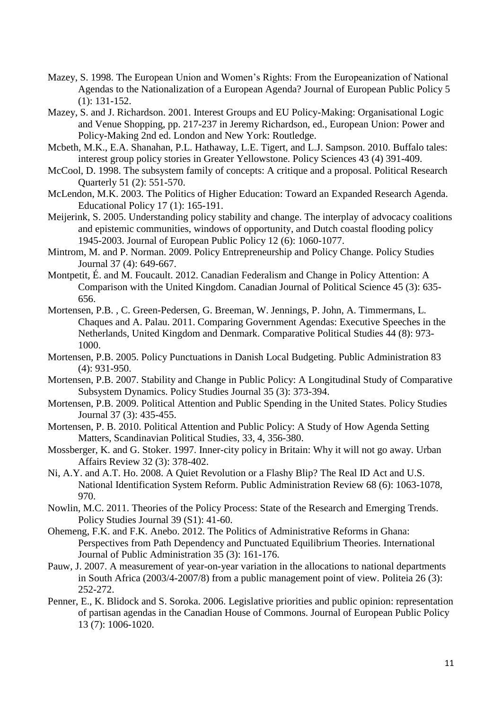- Mazey, S. 1998. The European Union and Women's Rights: From the Europeanization of National Agendas to the Nationalization of a European Agenda? Journal of European Public Policy 5 (1): 131-152.
- Mazey, S. and J. Richardson. 2001. Interest Groups and EU Policy-Making: Organisational Logic and Venue Shopping, pp. 217-237 in Jeremy Richardson, ed., European Union: Power and Policy-Making 2nd ed. London and New York: Routledge.
- Mcbeth, M.K., E.A. Shanahan, P.L. Hathaway, L.E. Tigert, and L.J. Sampson. 2010. Buffalo tales: interest group policy stories in Greater Yellowstone. Policy Sciences 43 (4) 391-409.
- McCool, D. 1998. The subsystem family of concepts: A critique and a proposal. Political Research Quarterly 51 (2): 551-570.
- McLendon, M.K. 2003. The Politics of Higher Education: Toward an Expanded Research Agenda. Educational Policy 17 (1): 165-191.
- Meijerink, S. 2005. Understanding policy stability and change. The interplay of advocacy coalitions and epistemic communities, windows of opportunity, and Dutch coastal flooding policy 1945-2003. Journal of European Public Policy 12 (6): 1060-1077.
- Mintrom, M. and P. Norman. 2009. Policy Entrepreneurship and Policy Change. Policy Studies Journal 37 (4): 649-667.
- Montpetit, É. and M. Foucault. 2012. Canadian Federalism and Change in Policy Attention: A Comparison with the United Kingdom. Canadian Journal of Political Science 45 (3): 635- 656.
- Mortensen, P.B. , C. Green-Pedersen, G. Breeman, W. Jennings, P. John, A. Timmermans, L. Chaques and A. Palau. 2011. Comparing Government Agendas: Executive Speeches in the Netherlands, United Kingdom and Denmark. Comparative Political Studies 44 (8): 973- 1000.
- Mortensen, P.B. 2005. Policy Punctuations in Danish Local Budgeting. Public Administration 83 (4): 931-950.
- Mortensen, P.B. 2007. Stability and Change in Public Policy: A Longitudinal Study of Comparative Subsystem Dynamics. Policy Studies Journal 35 (3): 373-394.
- Mortensen, P.B. 2009. Political Attention and Public Spending in the United States. Policy Studies Journal 37 (3): 435-455.
- Mortensen, P. B. 2010. Political Attention and Public Policy: A Study of How Agenda Setting Matters, Scandinavian Political Studies, 33, 4, 356-380.
- Mossberger, K. and G. Stoker. 1997. Inner-city policy in Britain: Why it will not go away. Urban Affairs Review 32 (3): 378-402.
- Ni, A.Y. and A.T. Ho. 2008. A Quiet Revolution or a Flashy Blip? The Real ID Act and U.S. National Identification System Reform. Public Administration Review 68 (6): 1063-1078, 970.
- Nowlin, M.C. 2011. Theories of the Policy Process: State of the Research and Emerging Trends. Policy Studies Journal 39 (S1): 41-60.
- Ohemeng, F.K. and F.K. Anebo. 2012. The Politics of Administrative Reforms in Ghana: Perspectives from Path Dependency and Punctuated Equilibrium Theories. International Journal of Public Administration 35 (3): 161-176.
- Pauw, J. 2007. A measurement of year-on-year variation in the allocations to national departments in South Africa (2003/4-2007/8) from a public management point of view. Politeia 26 (3): 252-272.
- Penner, E., K. Blidock and S. Soroka. 2006. Legislative priorities and public opinion: representation of partisan agendas in the Canadian House of Commons. Journal of European Public Policy 13 (7): 1006-1020.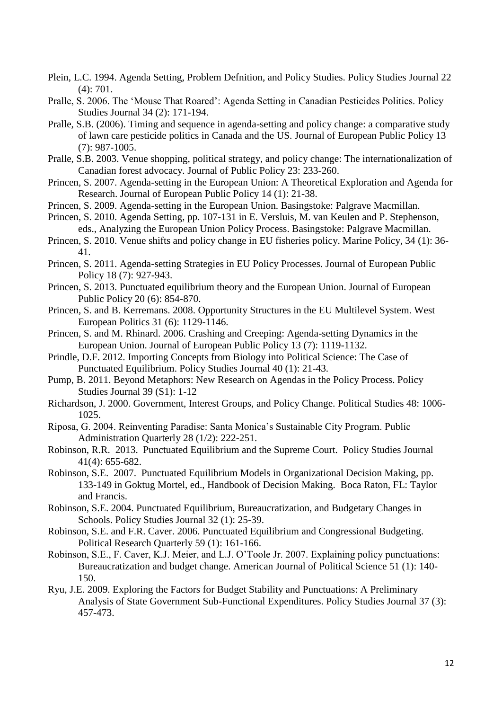- Plein, L.C. 1994. Agenda Setting, Problem Defnition, and Policy Studies. Policy Studies Journal 22 (4): 701.
- Pralle, S. 2006. The 'Mouse That Roared': Agenda Setting in Canadian Pesticides Politics. Policy Studies Journal 34 (2): 171-194.
- Pralle, S.B. (2006). Timing and sequence in agenda-setting and policy change: a comparative study of lawn care pesticide politics in Canada and the US. Journal of European Public Policy 13 (7): 987-1005.
- Pralle, S.B. 2003. Venue shopping, political strategy, and policy change: The internationalization of Canadian forest advocacy. Journal of Public Policy 23: 233-260.
- Princen, S. 2007. Agenda-setting in the European Union: A Theoretical Exploration and Agenda for Research. Journal of European Public Policy 14 (1): 21-38.
- Princen, S. 2009. Agenda-setting in the European Union. Basingstoke: Palgrave Macmillan.
- Princen, S. 2010. Agenda Setting, pp. 107-131 in E. Versluis, M. van Keulen and P. Stephenson, eds., Analyzing the European Union Policy Process. Basingstoke: Palgrave Macmillan.
- Princen, S. 2010. Venue shifts and policy change in EU fisheries policy. Marine Policy, 34 (1): 36- 41.
- Princen, S. 2011. Agenda-setting Strategies in EU Policy Processes. Journal of European Public Policy 18 (7): 927-943.
- Princen, S. 2013. Punctuated equilibrium theory and the European Union. Journal of European Public Policy 20 (6): 854-870.
- Princen, S. and B. Kerremans. 2008. Opportunity Structures in the EU Multilevel System. West European Politics 31 (6): 1129-1146.
- Princen, S. and M. Rhinard. 2006. Crashing and Creeping: Agenda-setting Dynamics in the European Union. Journal of European Public Policy 13 (7): 1119-1132.
- Prindle, D.F. 2012. Importing Concepts from Biology into Political Science: The Case of Punctuated Equilibrium. Policy Studies Journal 40 (1): 21-43.
- Pump, B. 2011. Beyond Metaphors: New Research on Agendas in the Policy Process. Policy Studies Journal 39 (S1): 1-12
- Richardson, J. 2000. Government, Interest Groups, and Policy Change. Political Studies 48: 1006- 1025.
- Riposa, G. 2004. Reinventing Paradise: Santa Monica's Sustainable City Program. Public Administration Quarterly 28 (1/2): 222-251.
- Robinson, R.R. 2013. Punctuated Equilibrium and the Supreme Court. Policy Studies Journal 41(4): 655-682.
- Robinson, S.E. 2007. Punctuated Equilibrium Models in Organizational Decision Making, pp. 133-149 in Goktug Mortel, ed., Handbook of Decision Making. Boca Raton, FL: Taylor and Francis.
- Robinson, S.E. 2004. Punctuated Equilibrium, Bureaucratization, and Budgetary Changes in Schools. Policy Studies Journal 32 (1): 25-39.
- Robinson, S.E. and F.R. Caver. 2006. Punctuated Equilibrium and Congressional Budgeting. Political Research Quarterly 59 (1): 161-166.
- Robinson, S.E., F. Caver, K.J. Meier, and L.J. O'Toole Jr. 2007. Explaining policy punctuations: Bureaucratization and budget change. American Journal of Political Science 51 (1): 140- 150.
- Ryu, J.E. 2009. Exploring the Factors for Budget Stability and Punctuations: A Preliminary Analysis of State Government Sub-Functional Expenditures. Policy Studies Journal 37 (3): 457-473.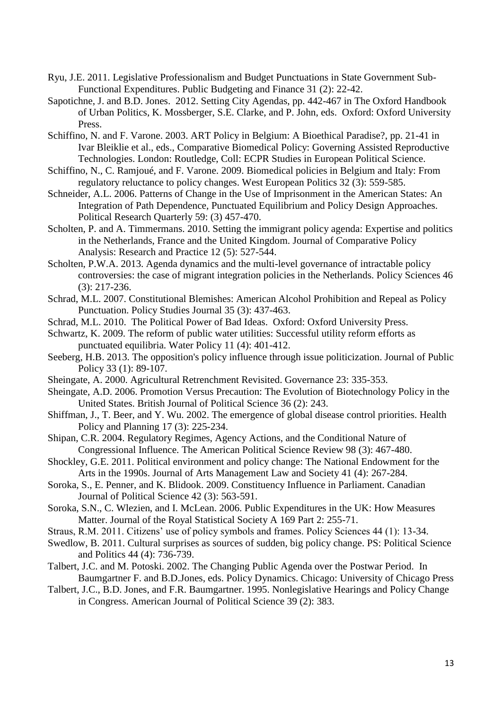- Ryu, J.E. 2011. Legislative Professionalism and Budget Punctuations in State Government Sub-Functional Expenditures. Public Budgeting and Finance 31 (2): 22-42.
- Sapotichne, J. and B.D. Jones. 2012. Setting City Agendas, pp. 442-467 in The Oxford Handbook of Urban Politics, K. Mossberger, S.E. Clarke, and P. John, eds. Oxford: Oxford University Press.
- Schiffino, N. and F. Varone. 2003. ART Policy in Belgium: A Bioethical Paradise?, pp. 21-41 in Ivar Bleiklie et al., eds., Comparative Biomedical Policy: Governing Assisted Reproductive Technologies. London: Routledge, Coll: ECPR Studies in European Political Science.
- Schiffino, N., C. Ramjoué, and F. Varone. 2009. Biomedical policies in Belgium and Italy: From regulatory reluctance to policy changes. West European Politics 32 (3): 559-585.
- Schneider, A.L. 2006. Patterns of Change in the Use of Imprisonment in the American States: An Integration of Path Dependence, Punctuated Equilibrium and Policy Design Approaches. Political Research Quarterly 59: (3) 457-470.
- Scholten, P. and A. Timmermans. 2010. Setting the immigrant policy agenda: Expertise and politics in the Netherlands, France and the United Kingdom. Journal of Comparative Policy Analysis: Research and Practice 12 (5): 527-544.
- Scholten, P.W.A. 2013. Agenda dynamics and the multi-level governance of intractable policy controversies: the case of migrant integration policies in the Netherlands. Policy Sciences 46 (3): 217-236.
- Schrad, M.L. 2007. Constitutional Blemishes: American Alcohol Prohibition and Repeal as Policy Punctuation. Policy Studies Journal 35 (3): 437-463.
- Schrad, M.L. 2010. The Political Power of Bad Ideas. Oxford: Oxford University Press.
- Schwartz, K. 2009. The reform of public water utilities: Successful utility reform efforts as punctuated equilibria. Water Policy 11 (4): 401-412.
- Seeberg, H.B. 2013. The opposition's policy influence through issue politicization. Journal of Public Policy 33 (1): 89-107.
- Sheingate, A. 2000. Agricultural Retrenchment Revisited. Governance 23: 335-353.
- Sheingate, A.D. 2006. Promotion Versus Precaution: The Evolution of Biotechnology Policy in the United States. British Journal of Political Science 36 (2): 243.
- Shiffman, J., T. Beer, and Y. Wu. 2002. The emergence of global disease control priorities. Health Policy and Planning 17 (3): 225-234.
- Shipan, C.R. 2004. Regulatory Regimes, Agency Actions, and the Conditional Nature of Congressional Influence. The American Political Science Review 98 (3): 467-480.
- Shockley, G.E. 2011. Political environment and policy change: The National Endowment for the Arts in the 1990s. Journal of Arts Management Law and Society 41 (4): 267-284.
- Soroka, S., E. Penner, and K. Blidook. 2009. Constituency Influence in Parliament. Canadian Journal of Political Science 42 (3): 563-591.
- Soroka, S.N., C. Wlezien, and I. McLean. 2006. Public Expenditures in the UK: How Measures Matter. Journal of the Royal Statistical Society A 169 Part 2: 255-71.
- Straus, R.M. 2011. Citizens' use of policy symbols and frames. Policy Sciences 44 (1): 13-34.
- Swedlow, B. 2011. Cultural surprises as sources of sudden, big policy change. PS: Political Science and Politics 44 (4): 736-739.
- Talbert, J.C. and M. Potoski. 2002. The Changing Public Agenda over the Postwar Period. In Baumgartner F. and B.D.Jones, eds. Policy Dynamics. Chicago: University of Chicago Press
- Talbert, J.C., B.D. Jones, and F.R. Baumgartner. 1995. Nonlegislative Hearings and Policy Change in Congress. American Journal of Political Science 39 (2): 383.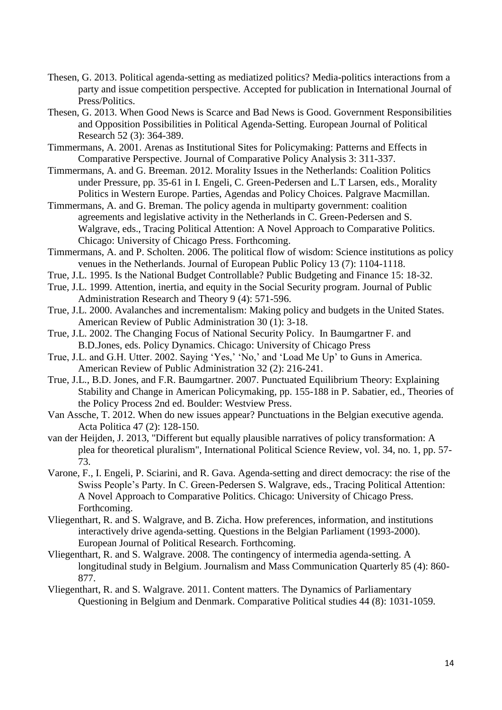- Thesen, G. 2013. Political agenda-setting as mediatized politics? Media-politics interactions from a party and issue competition perspective. Accepted for publication in International Journal of Press/Politics.
- Thesen, G. 2013. When Good News is Scarce and Bad News is Good. Government Responsibilities and Opposition Possibilities in Political Agenda-Setting. European Journal of Political Research 52 (3): 364-389.
- Timmermans, A. 2001. Arenas as Institutional Sites for Policymaking: Patterns and Effects in Comparative Perspective. Journal of Comparative Policy Analysis 3: 311-337.
- Timmermans, A. and G. Breeman. 2012. Morality Issues in the Netherlands: Coalition Politics under Pressure, pp. 35-61 in I. Engeli, C. Green-Pedersen and L.T Larsen, eds., Morality Politics in Western Europe. Parties, Agendas and Policy Choices. Palgrave Macmillan.
- Timmermans, A. and G. Breman. The policy agenda in multiparty government: coalition agreements and legislative activity in the Netherlands in C. Green-Pedersen and S. Walgrave, eds., Tracing Political Attention: A Novel Approach to Comparative Politics. Chicago: University of Chicago Press. Forthcoming.
- Timmermans, A. and P. Scholten. 2006. The political flow of wisdom: Science institutions as policy venues in the Netherlands. Journal of European Public Policy 13 (7): 1104-1118.
- True, J.L. 1995. Is the National Budget Controllable? Public Budgeting and Finance 15: 18-32.
- True, J.L. 1999. Attention, inertia, and equity in the Social Security program. Journal of Public Administration Research and Theory 9 (4): 571-596.
- True, J.L. 2000. Avalanches and incrementalism: Making policy and budgets in the United States. American Review of Public Administration 30 (1): 3-18.
- True, J.L. 2002. The Changing Focus of National Security Policy. In Baumgartner F. and B.D.Jones, eds. Policy Dynamics. Chicago: University of Chicago Press
- True, J.L. and G.H. Utter. 2002. Saying 'Yes,' 'No,' and 'Load Me Up' to Guns in America. American Review of Public Administration 32 (2): 216-241.
- True, J.L., B.D. Jones, and F.R. Baumgartner. 2007. Punctuated Equilibrium Theory: Explaining Stability and Change in American Policymaking, pp. 155-188 in P. Sabatier, ed., Theories of the Policy Process 2nd ed. Boulder: Westview Press.
- Van Assche, T. 2012. When do new issues appear? Punctuations in the Belgian executive agenda. Acta Politica 47 (2): 128-150.
- van der Heijden, J. 2013, "Different but equally plausible narratives of policy transformation: A plea for theoretical pluralism", International Political Science Review, vol. 34, no. 1, pp. 57- 73.
- Varone, F., I. Engeli, P. Sciarini, and R. Gava. Agenda-setting and direct democracy: the rise of the Swiss People's Party. In C. Green-Pedersen S. Walgrave, eds., Tracing Political Attention: A Novel Approach to Comparative Politics. Chicago: University of Chicago Press. Forthcoming.
- Vliegenthart, R. and S. Walgrave, and B. Zicha. How preferences, information, and institutions interactively drive agenda-setting. Questions in the Belgian Parliament (1993-2000). European Journal of Political Research. Forthcoming.
- Vliegenthart, R. and S. Walgrave. 2008. The contingency of intermedia agenda-setting. A longitudinal study in Belgium. Journalism and Mass Communication Quarterly 85 (4): 860- 877.
- Vliegenthart, R. and S. Walgrave. 2011. Content matters. The Dynamics of Parliamentary Questioning in Belgium and Denmark. Comparative Political studies 44 (8): 1031-1059.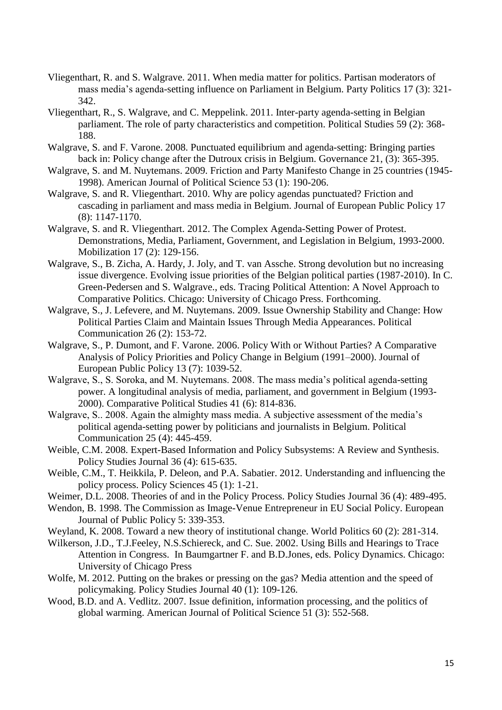- Vliegenthart, R. and S. Walgrave. 2011. When media matter for politics. Partisan moderators of mass media's agenda-setting influence on Parliament in Belgium. Party Politics 17 (3): 321- 342.
- Vliegenthart, R., S. Walgrave, and C. Meppelink. 2011. Inter-party agenda-setting in Belgian parliament. The role of party characteristics and competition. Political Studies 59 (2): 368- 188.
- Walgrave, S. and F. Varone. 2008. Punctuated equilibrium and agenda-setting: Bringing parties back in: Policy change after the Dutroux crisis in Belgium. Governance 21, (3): 365-395.
- Walgrave, S. and M. Nuytemans. 2009. Friction and Party Manifesto Change in 25 countries (1945- 1998). American Journal of Political Science 53 (1): 190-206.
- Walgrave, S. and R. Vliegenthart. 2010. Why are policy agendas punctuated? Friction and cascading in parliament and mass media in Belgium. Journal of European Public Policy 17 (8): 1147-1170.
- Walgrave, S. and R. Vliegenthart. 2012. The Complex Agenda-Setting Power of Protest. Demonstrations, Media, Parliament, Government, and Legislation in Belgium, 1993-2000. Mobilization 17 (2): 129-156.
- Walgrave, S., B. Zicha, A. Hardy, J. Joly, and T. van Assche. Strong devolution but no increasing issue divergence. Evolving issue priorities of the Belgian political parties (1987-2010). In C. Green-Pedersen and S. Walgrave., eds. Tracing Political Attention: A Novel Approach to Comparative Politics. Chicago: University of Chicago Press. Forthcoming.
- Walgrave, S., J. Lefevere, and M. Nuytemans. 2009. Issue Ownership Stability and Change: How Political Parties Claim and Maintain Issues Through Media Appearances. Political Communication 26 (2): 153-72.
- Walgrave, S., P. Dumont, and F. Varone. 2006. Policy With or Without Parties? A Comparative Analysis of Policy Priorities and Policy Change in Belgium (1991–2000). Journal of European Public Policy 13 (7): 1039-52.
- Walgrave, S., S. Soroka, and M. Nuytemans. 2008. The mass media's political agenda-setting power. A longitudinal analysis of media, parliament, and government in Belgium (1993- 2000). Comparative Political Studies 41 (6): 814-836.
- Walgrave, S.. 2008. Again the almighty mass media. A subjective assessment of the media's political agenda-setting power by politicians and journalists in Belgium. Political Communication 25 (4): 445-459.
- Weible, C.M. 2008. Expert-Based Information and Policy Subsystems: A Review and Synthesis. Policy Studies Journal 36 (4): 615-635.
- Weible, C.M., T. Heikkila, P. Deleon, and P.A. Sabatier. 2012. Understanding and influencing the policy process. Policy Sciences 45 (1): 1-21.
- Weimer, D.L. 2008. Theories of and in the Policy Process. Policy Studies Journal 36 (4): 489-495.
- Wendon, B. 1998. The Commission as Image-Venue Entrepreneur in EU Social Policy. European Journal of Public Policy 5: 339-353.
- Weyland, K. 2008. Toward a new theory of institutional change. World Politics 60 (2): 281-314.
- Wilkerson, J.D., T.J.Feeley, N.S.Schiereck, and C. Sue. 2002. Using Bills and Hearings to Trace Attention in Congress. In Baumgartner F. and B.D.Jones, eds. Policy Dynamics. Chicago: University of Chicago Press
- Wolfe, M. 2012. Putting on the brakes or pressing on the gas? Media attention and the speed of policymaking. Policy Studies Journal 40 (1): 109-126.
- Wood, B.D. and A. Vedlitz. 2007. Issue definition, information processing, and the politics of global warming. American Journal of Political Science 51 (3): 552-568.